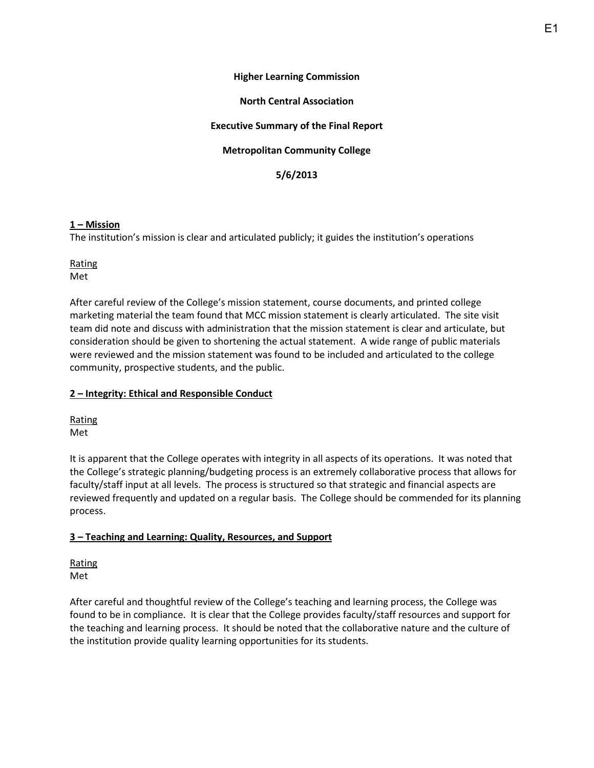#### **Higher Learning Commission**

## **North Central Association**

## **Executive Summary of the Final Report**

## **Metropolitan Community College**

# **5/6/2013**

## **1 – Mission**

The institution's mission is clear and articulated publicly; it guides the institution's operations

**Rating** Met

After careful review of the College's mission statement, course documents, and printed college marketing material the team found that MCC mission statement is clearly articulated. The site visit team did note and discuss with administration that the mission statement is clear and articulate, but consideration should be given to shortening the actual statement. A wide range of public materials were reviewed and the mission statement was found to be included and articulated to the college community, prospective students, and the public.

## **2 – Integrity: Ethical and Responsible Conduct**

Rating Met

It is apparent that the College operates with integrity in all aspects of its operations. It was noted that the College's strategic planning/budgeting process is an extremely collaborative process that allows for faculty/staff input at all levels. The process is structured so that strategic and financial aspects are reviewed frequently and updated on a regular basis. The College should be commended for its planning process.

## **3 – Teaching and Learning: Quality, Resources, and Support**

Rating Met

After careful and thoughtful review of the College's teaching and learning process, the College was found to be in compliance. It is clear that the College provides faculty/staff resources and support for the teaching and learning process. It should be noted that the collaborative nature and the culture of the institution provide quality learning opportunities for its students.